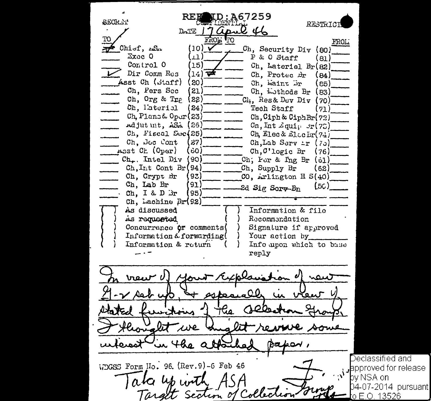259 Б SECK Y **RESTRICT**  $D - TE$ FROLI Chief, ASA (10 Ch, Security Div (80) Exec 0 P & O Staff  $\ddot{\mathbf{1}}$ (81) Control 0 ี่ 15 ไ  $Ch.$  Lateriel  $Br(S2)$ Dir Comm Res  $1.4$ 7df Ch. Protec Br  $(84)$ Asst Ch (Staff) ( 20) Ch, waint br ( ຣ5ີ Ch. Pers Sec (21 Ch. Luthods Br (83) Ch. Org & Tne (ຂຂ່ Ch. Res& Dev Div  $(70)$ Ch. Laterial 24) Tech Staff (71)  $Ch.$  Plans &  $O<sub>pur</sub>(23)$ Ch. Ciph & Ciph Br (72) Adjut mt, ASA (26) Cn, Int  $\mathcal{L}$ qui $_1$   $\mathcal{F}(75)$ Ch, Fiscal Sec $(25)$ Ch. Elec & Electr(74) Ch. Doc Cont Ch.Lab Serv ir (70)  $27)$ A<sub>33</sub>t Ch (Oper) ່ວດໄ Ch. C'logic Br  $(76)$ Ch., Intel Div '90) Ch; For &  $\ln g$  Br  $\left( \cosh \right)$  $Ch.I<sub>1</sub>$ t Cont Br $(94)$ Ch, Supply Br (62) Ch, Crypt Br 93)  $CO$ , Arlington H  $S(40)$ Ch, Lab Br 91)  $(5C)$ 2d Sig Sorv-Bn Ch. I & D  $3r$  $95)$ Ch. Lachine  $Br(92)$ As discussed Information & file As requested Recommendation Concurrence or comments Signature if approved Information  $\&$  forwarding( Your action by Information & return Info upon which to base reply rac  $u$ ay $\epsilon$ WDGSS Form No. 96. (Rev. 9)-6 Feb 46

Declassified and approved for release bv NSA on 04-07-2014 pursuant| o F O 13526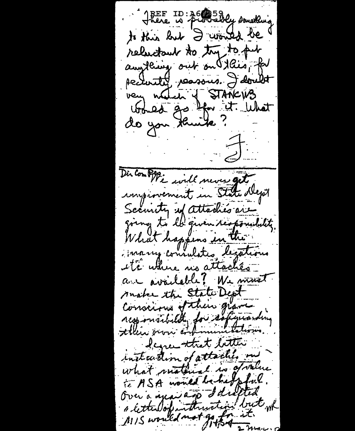JEEF ID: 36 39 Gy something to this had I would be relactant to try to put anything out on this, for pectually persons. I doubt very nature of STATICUS do you think ?  $\frac{1}{2}$ Dis Compte will never get unginement in State Dept Security up attaches are going to la guven responsibility What happens in the inarry consulates legations ite uthere no attachés a - available! We must make the State Dept Conscious of their grave responsibility for safermanding Icgreenstrat better insteadion of attaches on what material is goodne to ASA worked behalpful. Over a year and I drafted a letter doputation but wh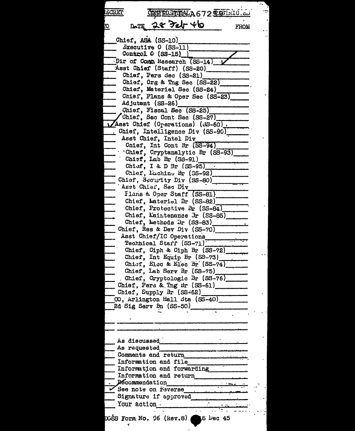CREED TIDALA 672 TOLLLOLOU **ECRET** DATE 28 Feb 46 **FROM** Chief, ASA (SS-10)  $\Delta$ xecutive O (SS-11) Control 0 (SS-15) ) Dir of Comm Research (SS-14) Asst Chief (Staff) (SS-20) Chief, Pers Sec (SS-21) Chief, Org & Tng Sec (SS-22) Chief, Materiel Sec (SS-24) Chief, Plans & Oper Sec (SS-23) Adjutant (SS-26) Chief, Fiscal Sec (SS-25) Chief, Sec Cont Sec (SS-27) Asst Chief (Operations) (SS-60). Chief, Intelligence Div (SS-90) Asst Chief, Intel Div Chief, Int Cont Br (SS-94) Chief, Cryptanalytic Br (SS-93)  $Chist$ , Lab Br  $(SS-91)$ Chiof, I & D Br  $(SS-95)$ Chief, Luchine Br (SS-92) Chisf, Security Div (SS-80) Asst Chief, Sec Div Flans & Oper Staff (SS-81) Chief, Materiel Br (SS-82) Chief, Protective Br (SS-84) Chief, Maintenance Jr (SS-85) Chief, Lethods Br (SS-83) Chief, Res & Dev Div (SS-70) Asst Chief/IC Operations Technical Starf (SS-71) Chief, Ciph & Ciph Br (SS-72) Chief, Int Equip Br (SS-73) Chief, Elec & Elec Br (SS-74) Chief, Lab Serv Br (SS-75) Chief, Cryptologic Br (SS-76) Chief, Pers & Tng Br (SS-61) Chief, Supply Br (SS-62) CO, Arlington Hall Sta (SS-40) 2d Sig Serv Bn (SS-50) As discussed As requested Comments and return Information and file Information and forwarding Information and return **Recommendation** See note on reverse Signature if approved Your action . DGŠS Form No. 96 (kev.8) 6 Dec 45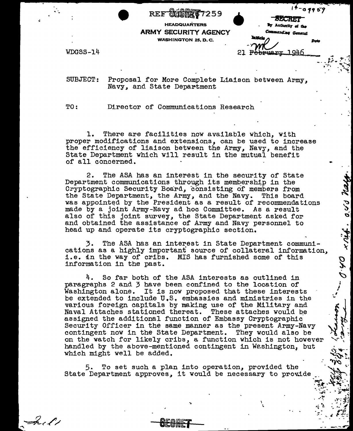$\begin{array}{ccc}\n \cdot & \cdot & \cdot & \cdot \\
\hline\n \text{Hilb} & \cdot & \cdot & \cdot \\
\text{HEADQUARTERS} & & & \cdot & \cdot \\
\text{SECLIRITY AGENCY} & & & \text{Comnized} & \text{Comnized} \\
\text{SHINGTON 25, D. C.} & & & \text{Ind}(A) & \text{Comnized} \\
\end{array}$ REE\* Mflf7259 If-a *1'* **6:.'/** - **ARMY SECURITY AGENCY** WASHINGTON 25, **D.** C. WDGSS-14 <u>wa.n.v. 1946</u>

SUBJECT: Proposal for More Complete Liaison between Army, Navy, and State Department

TO: Director of Communications Research

1. There are facilities now available which, with proper modifications and extensions, can be used to increase the efficiency of liaison between the Army, Navy, and the State Department which will result in the mutual benefit of all concerned.

2. The ASA has an interest in the security of State Department communications through its membership in the Cryptographic Security Board, consisting of members from the State Department, the Army, and the Navy. This board was appointed by the President as a result of recommendations made by a joint Army-Navy ad hoc Committee. As a result also of this joint survey, the State Department asked for and obtained the assistance of Army and Mavy personnel to head up and operate its cryptographic section.

3. The ASA has an interest in State Department communications as a highly important source of collateral information, i.e. in the way of cribs. MIS has furnished some of this information in the past.

> l  $\frac{1}{2}$ ...

0.40

xriff. o.vs ney

-.

.<br>.<br>. 'l.j ....--

 $...$   $\star$   $\star$   $\cdot$   $\star$   $\cdot$   $\cdot$  $\cdot$  -  $\cdot$  -  $\cdot$   $\cdot$   $\cdot$   $\cdot$   $\cdot$   $\cdot$  $\cdot$  .  $\cdot$  ,  $\cdot$  ,  $\cdot$  ,  $\cdot$  ,  $\cdot$  ,  $\cdot$  ,  $\cdot$  ,  $\cdot$  ,  $\cdot$  ,  $\cdot$  ,  $\cdot$  ,  $\cdot$  ,  $\cdot$  ,  $\cdot$  ,  $\cdot$  ,  $\cdot$  ,  $\cdot$  ,  $\cdot$  ,  $\cdot$  ,  $\cdot$  ,  $\cdot$  ,  $\cdot$  ,  $\cdot$  ,  $\cdot$  ,  $\cdot$  ,  $\cdot$  ,  $\cdot$  ,  $\cdot$  ,  $\cdot$  ,  $\cdot$  ,  $\cdot$ , .. . "\*- <sup>~</sup>. *::* ~" ,,. . -.. *.,-p* **,1 • .\_** *j* .,..~ \_ \_.::

4. So far both of the ASA interests as outlined in paragraphs 2 and 3 have been confined to the location of Washington alone. It is now proposed that these interests be extended to include U.S. embassies and ministries in the various foreign capitals by making use of the Military and Naval Attaches stationed thereat. These attaches would be assigned the additional function of Embassy Cryptographic Security Officer in the same manner as the present Army-Navy contingent now in the State Department. They would also be on the watch for likely cribs, a function which is not however handled by the above-mentioned contingent in Weshington, but which might well be added.

5. To set such a plan into operation, provided the ,~<br>State Department approves, it would be necessary to provide

 $-\lambda$